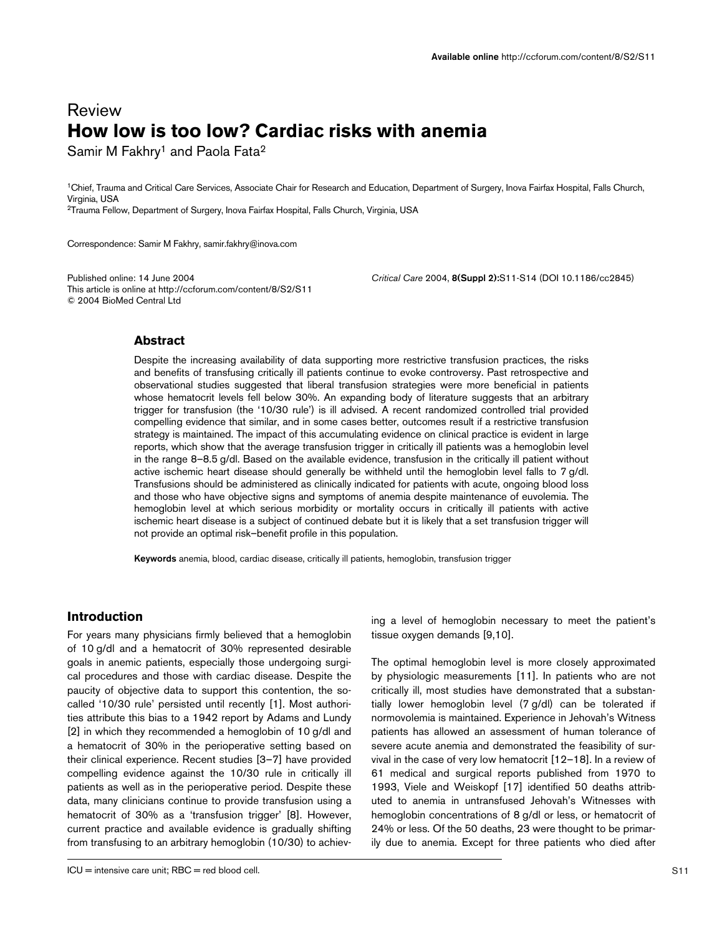# Review **How low is too low? Cardiac risks with anemia**

Samir M Fakhry<sup>1</sup> and Paola Fata<sup>2</sup>

1Chief, Trauma and Critical Care Services, Associate Chair for Research and Education, Department of Surgery, Inova Fairfax Hospital, Falls Church, Virginia, USA 2Trauma Fellow, Department of Surgery, Inova Fairfax Hospital, Falls Church, Virginia, USA

Correspondence: Samir M Fakhry, samir.fakhry@inova.com

Published online: 14 June 2004 *Critical Care* 2004, **8(Suppl 2):**S11-S14 (DOI 10.1186/cc2845) This article is online at http://ccforum.com/content/8/S2/S11 © 2004 BioMed Central Ltd

### **Abstract**

Despite the increasing availability of data supporting more restrictive transfusion practices, the risks and benefits of transfusing critically ill patients continue to evoke controversy. Past retrospective and observational studies suggested that liberal transfusion strategies were more beneficial in patients whose hematocrit levels fell below 30%. An expanding body of literature suggests that an arbitrary trigger for transfusion (the '10/30 rule') is ill advised. A recent randomized controlled trial provided compelling evidence that similar, and in some cases better, outcomes result if a restrictive transfusion strategy is maintained. The impact of this accumulating evidence on clinical practice is evident in large reports, which show that the average transfusion trigger in critically ill patients was a hemoglobin level in the range 8–8.5 g/dl. Based on the available evidence, transfusion in the critically ill patient without active ischemic heart disease should generally be withheld until the hemoglobin level falls to 7 g/dl. Transfusions should be administered as clinically indicated for patients with acute, ongoing blood loss and those who have objective signs and symptoms of anemia despite maintenance of euvolemia. The hemoglobin level at which serious morbidity or mortality occurs in critically ill patients with active ischemic heart disease is a subject of continued debate but it is likely that a set transfusion trigger will not provide an optimal risk–benefit profile in this population.

**Keywords** anemia, blood, cardiac disease, critically ill patients, hemoglobin, transfusion trigger

# **Introduction**

For years many physicians firmly believed that a hemoglobin of 10 g/dl and a hematocrit of 30% represented desirable goals in anemic patients, especially those undergoing surgical procedures and those with cardiac disease. Despite the paucity of objective data to support this contention, the socalled '10/30 rule' persisted until recently [1]. Most authorities attribute this bias to a 1942 report by Adams and Lundy [2] in which they recommended a hemoglobin of 10 g/dl and a hematocrit of 30% in the perioperative setting based on their clinical experience. Recent studies [3–7] have provided compelling evidence against the 10/30 rule in critically ill patients as well as in the perioperative period. Despite these data, many clinicians continue to provide transfusion using a hematocrit of 30% as a 'transfusion trigger' [8]. However, current practice and available evidence is gradually shifting from transfusing to an arbitrary hemoglobin (10/30) to achieving a level of hemoglobin necessary to meet the patient's tissue oxygen demands [9,10].

The optimal hemoglobin level is more closely approximated by physiologic measurements [11]. In patients who are not critically ill, most studies have demonstrated that a substantially lower hemoglobin level (7 g/dl) can be tolerated if normovolemia is maintained. Experience in Jehovah's Witness patients has allowed an assessment of human tolerance of severe acute anemia and demonstrated the feasibility of survival in the case of very low hematocrit [12–18]. In a review of 61 medical and surgical reports published from 1970 to 1993, Viele and Weiskopf [17] identified 50 deaths attributed to anemia in untransfused Jehovah's Witnesses with hemoglobin concentrations of 8 g/dl or less, or hematocrit of 24% or less. Of the 50 deaths, 23 were thought to be primarily due to anemia. Except for three patients who died after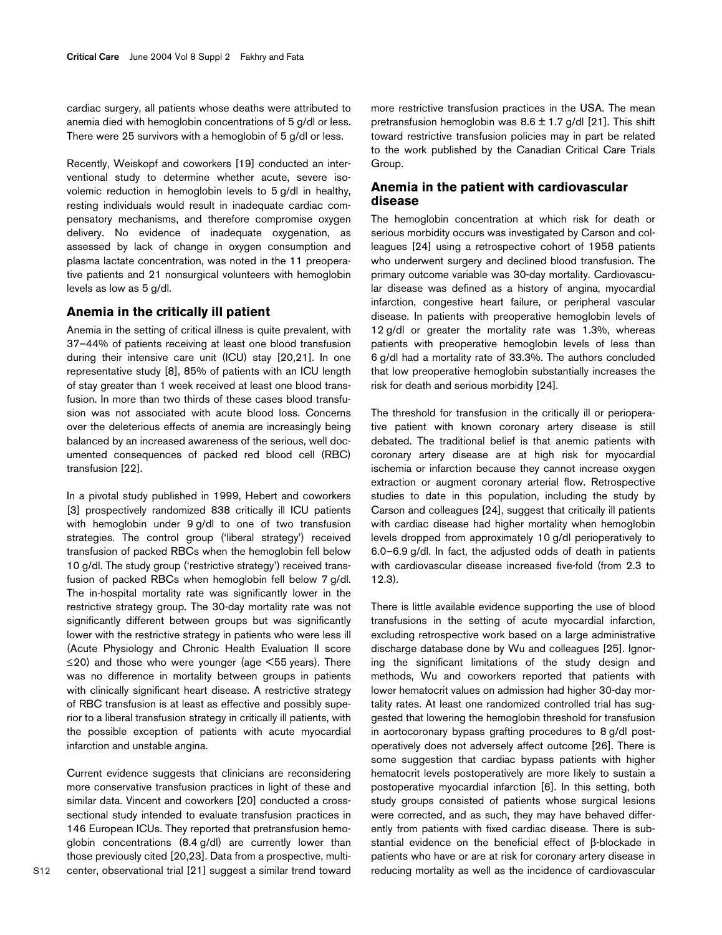cardiac surgery, all patients whose deaths were attributed to anemia died with hemoglobin concentrations of 5 g/dl or less. There were 25 survivors with a hemoglobin of 5 g/dl or less.

Recently, Weiskopf and coworkers [19] conducted an interventional study to determine whether acute, severe isovolemic reduction in hemoglobin levels to 5 g/dl in healthy, resting individuals would result in inadequate cardiac compensatory mechanisms, and therefore compromise oxygen delivery. No evidence of inadequate oxygenation, as assessed by lack of change in oxygen consumption and plasma lactate concentration, was noted in the 11 preoperative patients and 21 nonsurgical volunteers with hemoglobin levels as low as 5 g/dl.

# **Anemia in the critically ill patient**

Anemia in the setting of critical illness is quite prevalent, with 37–44% of patients receiving at least one blood transfusion during their intensive care unit (ICU) stay [20,21]. In one representative study [8], 85% of patients with an ICU length of stay greater than 1 week received at least one blood transfusion. In more than two thirds of these cases blood transfusion was not associated with acute blood loss. Concerns over the deleterious effects of anemia are increasingly being balanced by an increased awareness of the serious, well documented consequences of packed red blood cell (RBC) transfusion [22].

In a pivotal study published in 1999, Hebert and coworkers [3] prospectively randomized 838 critically ill ICU patients with hemoglobin under 9 g/dl to one of two transfusion strategies. The control group ('liberal strategy') received transfusion of packed RBCs when the hemoglobin fell below 10 g/dl. The study group ('restrictive strategy') received transfusion of packed RBCs when hemoglobin fell below 7 g/dl. The in-hospital mortality rate was significantly lower in the restrictive strategy group. The 30-day mortality rate was not significantly different between groups but was significantly lower with the restrictive strategy in patients who were less ill (Acute Physiology and Chronic Health Evaluation II score  $\leq$ 20) and those who were younger (age  $\leq$ 55 years). There was no difference in mortality between groups in patients with clinically significant heart disease. A restrictive strategy of RBC transfusion is at least as effective and possibly superior to a liberal transfusion strategy in critically ill patients, with the possible exception of patients with acute myocardial infarction and unstable angina.

Current evidence suggests that clinicians are reconsidering more conservative transfusion practices in light of these and similar data. Vincent and coworkers [20] conducted a crosssectional study intended to evaluate transfusion practices in 146 European ICUs. They reported that pretransfusion hemoglobin concentrations (8.4 g/dl) are currently lower than those previously cited [20,23]. Data from a prospective, multicenter, observational trial [21] suggest a similar trend toward more restrictive transfusion practices in the USA. The mean pretransfusion hemoglobin was  $8.6 \pm 1.7$  g/dl [21]. This shift toward restrictive transfusion policies may in part be related to the work published by the Canadian Critical Care Trials Group.

# **Anemia in the patient with cardiovascular disease**

The hemoglobin concentration at which risk for death or serious morbidity occurs was investigated by Carson and colleagues [24] using a retrospective cohort of 1958 patients who underwent surgery and declined blood transfusion. The primary outcome variable was 30-day mortality. Cardiovascular disease was defined as a history of angina, myocardial infarction, congestive heart failure, or peripheral vascular disease. In patients with preoperative hemoglobin levels of 12 g/dl or greater the mortality rate was 1.3%, whereas patients with preoperative hemoglobin levels of less than 6 g/dl had a mortality rate of 33.3%. The authors concluded that low preoperative hemoglobin substantially increases the risk for death and serious morbidity [24].

The threshold for transfusion in the critically ill or perioperative patient with known coronary artery disease is still debated. The traditional belief is that anemic patients with coronary artery disease are at high risk for myocardial ischemia or infarction because they cannot increase oxygen extraction or augment coronary arterial flow. Retrospective studies to date in this population, including the study by Carson and colleagues [24], suggest that critically ill patients with cardiac disease had higher mortality when hemoglobin levels dropped from approximately 10 g/dl perioperatively to 6.0–6.9 g/dl. In fact, the adjusted odds of death in patients with cardiovascular disease increased five-fold (from 2.3 to 12.3).

There is little available evidence supporting the use of blood transfusions in the setting of acute myocardial infarction, excluding retrospective work based on a large administrative discharge database done by Wu and colleagues [25]. Ignoring the significant limitations of the study design and methods, Wu and coworkers reported that patients with lower hematocrit values on admission had higher 30-day mortality rates. At least one randomized controlled trial has suggested that lowering the hemoglobin threshold for transfusion in aortocoronary bypass grafting procedures to 8 g/dl postoperatively does not adversely affect outcome [26]. There is some suggestion that cardiac bypass patients with higher hematocrit levels postoperatively are more likely to sustain a postoperative myocardial infarction [6]. In this setting, both study groups consisted of patients whose surgical lesions were corrected, and as such, they may have behaved differently from patients with fixed cardiac disease. There is substantial evidence on the beneficial effect of β-blockade in patients who have or are at risk for coronary artery disease in reducing mortality as well as the incidence of cardiovascular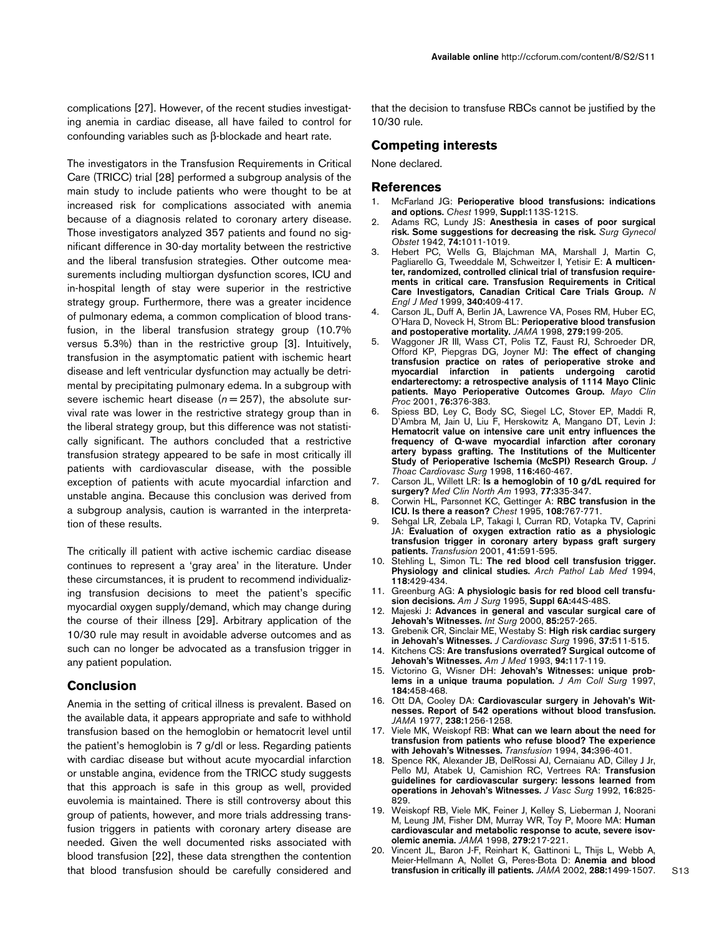complications [27]. However, of the recent studies investigating anemia in cardiac disease, all have failed to control for confounding variables such as β-blockade and heart rate.

The investigators in the Transfusion Requirements in Critical Care (TRICC) trial [28] performed a subgroup analysis of the main study to include patients who were thought to be at increased risk for complications associated with anemia because of a diagnosis related to coronary artery disease. Those investigators analyzed 357 patients and found no significant difference in 30-day mortality between the restrictive and the liberal transfusion strategies. Other outcome measurements including multiorgan dysfunction scores, ICU and in-hospital length of stay were superior in the restrictive strategy group. Furthermore, there was a greater incidence of pulmonary edema, a common complication of blood transfusion, in the liberal transfusion strategy group (10.7% versus 5.3%) than in the restrictive group [3]. Intuitively, transfusion in the asymptomatic patient with ischemic heart disease and left ventricular dysfunction may actually be detrimental by precipitating pulmonary edema. In a subgroup with severe ischemic heart disease  $(n=257)$ , the absolute survival rate was lower in the restrictive strategy group than in the liberal strategy group, but this difference was not statistically significant. The authors concluded that a restrictive transfusion strategy appeared to be safe in most critically ill patients with cardiovascular disease, with the possible exception of patients with acute myocardial infarction and unstable angina. Because this conclusion was derived from a subgroup analysis, caution is warranted in the interpretation of these results.

The critically ill patient with active ischemic cardiac disease continues to represent a 'gray area' in the literature. Under these circumstances, it is prudent to recommend individualizing transfusion decisions to meet the patient's specific myocardial oxygen supply/demand, which may change during the course of their illness [29]. Arbitrary application of the 10/30 rule may result in avoidable adverse outcomes and as such can no longer be advocated as a transfusion trigger in any patient population.

### **Conclusion**

Anemia in the setting of critical illness is prevalent. Based on the available data, it appears appropriate and safe to withhold transfusion based on the hemoglobin or hematocrit level until the patient's hemoglobin is 7 g/dl or less. Regarding patients with cardiac disease but without acute myocardial infarction or unstable angina, evidence from the TRICC study suggests that this approach is safe in this group as well, provided euvolemia is maintained. There is still controversy about this group of patients, however, and more trials addressing transfusion triggers in patients with coronary artery disease are needed. Given the well documented risks associated with blood transfusion [22], these data strengthen the contention that blood transfusion should be carefully considered and that the decision to transfuse RBCs cannot be justified by the 10/30 rule.

### **Competing interests**

None declared.

#### **References**

- 1. McFarland JG: **Perioperative blood transfusions: indications and options.** *Chest* 1999, **Suppl:**113S-121S.
- 2. Adams RC, Lundy JS: **Anesthesia in cases of poor surgical risk. Some suggestions for decreasing the risk.** *Surg Gynecol Obstet* 1942, **74:**1011-1019.
- 3. Hebert PC, Wells G, Blajchman MA, Marshall J, Martin C, Pagliarello G, Tweeddale M, Schweitzer I, Yetisir E: **A multicenter, randomized, controlled clinical trial of transfusion requirements in critical care. Transfusion Requirements in Critical Care Investigators, Canadian Critical Care Trials Group.** *N Engl J Med* 1999, **340:**409-417.
- 4. Carson JL, Duff A, Berlin JA, Lawrence VA, Poses RM, Huber EC, O'Hara D, Noveck H, Strom BL: **Perioperative blood transfusion and postoperative mortality.** *JAMA* 1998, **279:**199-205.
- 5. Waggoner JR III, Wass CT, Polis TZ, Faust RJ, Schroeder DR, Offord KP, Piepgras DG, Joyner MJ: **The effect of changing transfusion practice on rates of perioperative stroke and myocardial infarction in patients undergoing carotid endarterectomy: a retrospective analysis of 1114 Mayo Clinic patients. Mayo Perioperative Outcomes Group.** *Mayo Clin Proc* 2001, **76:**376-383.
- Spiess BD, Ley C, Body SC, Siegel LC, Stover EP, Maddi R, D'Ambra M, Jain U, Liu F, Herskowitz A, Mangano DT, Levin J: **Hematocrit value on intensive care unit entry influences the frequency of Q-wave myocardial infarction after coronary artery bypass grafting. The Institutions of the Multicenter Study of Perioperative Ischemia (McSPI) Research Group.** *J Thoac Cardiovasc Surg* 1998, **116:**460-467.
- 7. Carson JL, Willett LR: **Is a hemoglobin of 10 g/dL required for surgery?** *Med Clin North Am* 1993, **77:**335-347.
- 8. Corwin HL, Parsonnet KC, Gettinger A: **RBC transfusion in the ICU. Is there a reason?** *Chest* 1995, **108:**767-771.
- 9. Sehgal LR, Zebala LP, Takagi I, Curran RD, Votapka TV, Caprini JA: **Evaluation of oxygen extraction ratio as a physiologic transfusion trigger in coronary artery bypass graft surgery patients.** *Transfusion* 2001, **41:**591-595.
- 10. Stehling L, Simon TL: **The red blood cell transfusion trigger. Physiology and clinical studies.** *Arch Pathol Lab Med* 1994, **118:**429-434.
- 11. Greenburg AG: **A physiologic basis for red blood cell transfusion decisions.** *Am J Surg* 1995, **Suppl 6A:**44S-48S.
- 12. Majeski J: **Advances in general and vascular surgical care of Jehovah's Witnesses.** *Int Surg* 2000, **85:**257-265.
- 13. Grebenik CR, Sinclair ME, Westaby S: **High risk cardiac surgery in Jehovah's Witnesses.** *J Cardiovasc Surg* 1996, **37:**511-515.
- 14. Kitchens CS: **Are transfusions overrated? Surgical outcome of Jehovah's Witnesses.** *Am J Med* 1993, **94:**117-119.
- 15. Victorino G, Wisner DH: **Jehovah's Witnesses: unique problems in a unique trauma population.** *J Am Coll Surg* 1997, **184:**458-468.
- 16. Ott DA, Cooley DA: **Cardiovascular surgery in Jehovah's Witnesses. Report of 542 operations without blood transfusion.** *JAMA* 1977, **238:**1256-1258.
- 17. Viele MK, Weiskopf RB: **What can we learn about the need for transfusion from patients who refuse blood? The experience with Jehovah's Witnesses.** *Transfusion* 1994, **34:**396-401.
- 18. Spence RK, Alexander JB, DelRossi AJ, Cernaianu AD, Cilley J Jr, Pello MJ, Atabek U, Camishion RC, Vertrees RA: **Transfusion guidelines for cardiovascular surgery: lessons learned from operations in Jehovah's Witnesses.** *J Vasc Surg* 1992, **16:**825- 829.
- 19. Weiskopf RB, Viele MK, Feiner J, Kelley S, Lieberman J, Noorani M, Leung JM, Fisher DM, Murray WR, Toy P, Moore MA: **Human cardiovascular and metabolic response to acute, severe isovolemic anemia.** *JAMA* 1998, **279:**217-221.
- 20. Vincent JL, Baron J-F, Reinhart K, Gattinoni L, Thijs L, Webb A, Meier-Hellmann A, Nollet G, Peres-Bota D: **Anemia and blood transfusion in critically ill patients.** *JAMA* 2002, **288:**1499-1507.